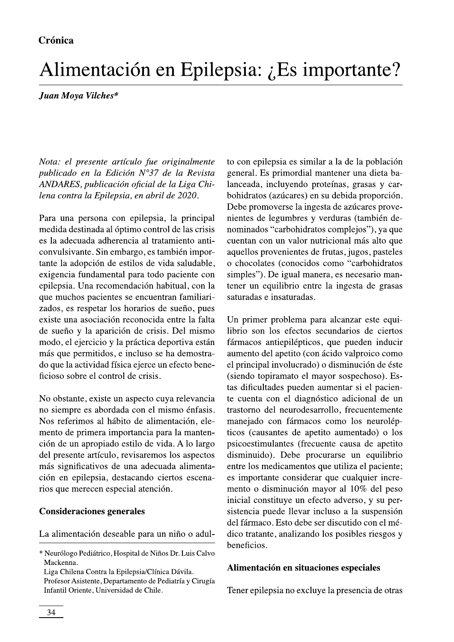# Alimentación en Epilepsia: ¿Es importante?

## Juan Moya Vilches\*

Nota: el presente artículo fue originalmente publicado en la Edición N°37 de la Revista ANDARES, publicación oficial de la Liga Chilena contra la Epilepsia, en abril de 2020.

Para una persona con epilepsia, la principal medida destinada al óptimo control de las crisis es la adecuada adherencia al tratamiento anticonvulsivante. Sin embargo, es también importante la adopción de estilos de vida saludable, exigencia fundamental para todo paciente con epilepsia. Una recomendación habitual, con la que muchos pacientes se encuentran familiarizados, es respetar los horarios de sueño, pues existe una asociación reconocida entre la falta de sueño y la aparición de crisis. Del mismo modo, el ejercicio y la práctica deportiva están más que permitidos, e incluso se ha demostrado que la actividad física ejerce un efecto beneficioso sobre el control de crisis.

No obstante, existe un aspecto cuya relevancia no siempre es abordada con el mismo énfasis. Nos referimos al hábito de alimentación, elemento de primera importancia para la mantención de un apropiado estilo de vida. A lo largo del presente artículo, revisaremos los aspectos más significativos de una adecuada alimentación en epilepsia, destacando ciertos escenarios que merecen especial atención.

### **Consideraciones generales**

La alimentación deseable para un niño o adul-

to con epilepsia es similar a la de la población general. Es primordial mantener una dieta balanceada, incluyendo proteínas, grasas y carbohidratos (azúcares) en su debida proporción. Debe promoverse la ingesta de azúcares provenientes de legumbres y verduras (también denominados "carbohidratos complejos"), ya que cuentan con un valor nutricional más alto que aquellos provenientes de frutas, jugos, pasteles o chocolates (conocidos como "carbohidratos simples"). De igual manera, es necesario mantener un equilibrio entre la ingesta de grasas saturadas e insaturadas.

Un primer problema para alcanzar este equilibrio son los efectos secundarios de ciertos fármacos antiepilépticos, que pueden inducir aumento del apetito (con ácido valproico como el principal involucrado) o disminución de éste (siendo topiramato el mayor sospechoso). Estas dificultades pueden aumentar si el paciente cuenta con el diagnóstico adicional de un trastorno del neurodesarrollo, frecuentemente manejado con fármacos como los neurolépticos (causantes de apetito aumentado) o los psicoestimulantes (frecuente causa de apetito disminuido). Debe procurarse un equilibrio entre los medicamentos que utiliza el paciente; es importante considerar que cualquier incremento o disminución mayor al 10% del peso inicial constituye un efecto adverso, y su persistencia puede llevar incluso a la suspensión del fármaco. Esto debe ser discutido con el médico tratante, analizando los posibles riesgos y beneficios.

### Alimentación en situaciones especiales

Tener epilepsia no excluye la presencia de otras

<sup>\*</sup> Neurólogo Pediátrico, Hospital de Niños Dr. Luis Calvo Mackenna.

Liga Chilena Contra la Epilepsia/Clínica Dávila. Profesor Asistente, Departamento de Pediatría y Cirugía Infantil Oriente, Universidad de Chile.